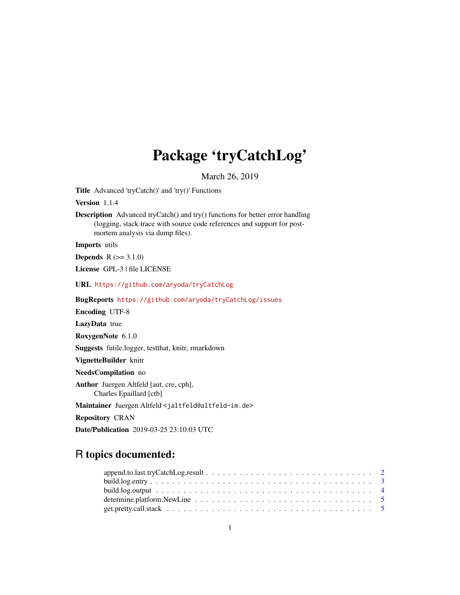# Package 'tryCatchLog'

March 26, 2019

<span id="page-0-0"></span>Title Advanced 'tryCatch()' and 'try()' Functions

Version 1.1.4

Description Advanced tryCatch() and try() functions for better error handling (logging, stack trace with source code references and support for postmortem analysis via dump files).

Imports utils

**Depends**  $R (= 3.1.0)$ 

License GPL-3 | file LICENSE

URL <https://github.com/aryoda/tryCatchLog>

BugReports <https://github.com/aryoda/tryCatchLog/issues>

Encoding UTF-8

LazyData true

RoxygenNote 6.1.0

Suggests futile.logger, testthat, knitr, rmarkdown

VignetteBuilder knitr

NeedsCompilation no

Author Juergen Altfeld [aut, cre, cph], Charles Epaillard [ctb]

Maintainer Juergen Altfeld <jaltfeld@altfeld-im.de>

Repository CRAN

Date/Publication 2019-03-25 23:10:03 UTC

# R topics documented: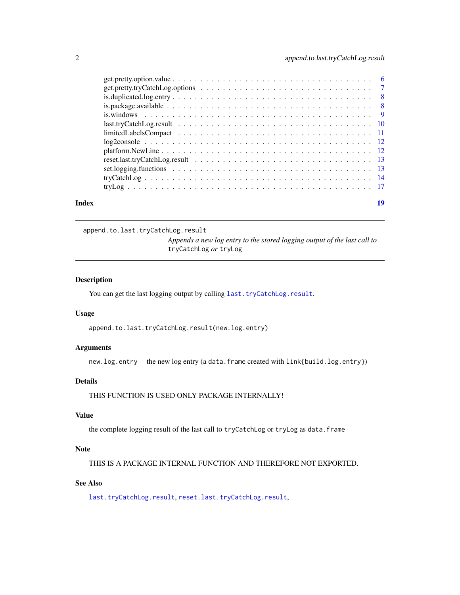# <span id="page-1-0"></span>2 append.to.last.tryCatchLog.result

| Index | 19 |
|-------|----|
|       |    |
|       |    |
|       |    |
|       |    |
|       |    |
|       |    |
|       |    |
|       |    |
|       |    |
|       |    |
|       |    |
|       |    |
|       |    |

#### <span id="page-1-1"></span>append.to.last.tryCatchLog.result

*Appends a new log entry to the stored logging output of the last call to* tryCatchLog *or* tryLog

#### Description

You can get the last logging output by calling [last.tryCatchLog.result](#page-9-1).

#### Usage

append.to.last.tryCatchLog.result(new.log.entry)

# Arguments

new.log.entry the new log entry (a data.frame created with link{build.log.entry})

# Details

THIS FUNCTION IS USED ONLY PACKAGE INTERNALLY!

# Value

the complete logging result of the last call to tryCatchLog or tryLog as data.frame

# Note

THIS IS A PACKAGE INTERNAL FUNCTION AND THEREFORE NOT EXPORTED.

# See Also

[last.tryCatchLog.result](#page-9-1), [reset.last.tryCatchLog.result](#page-12-1),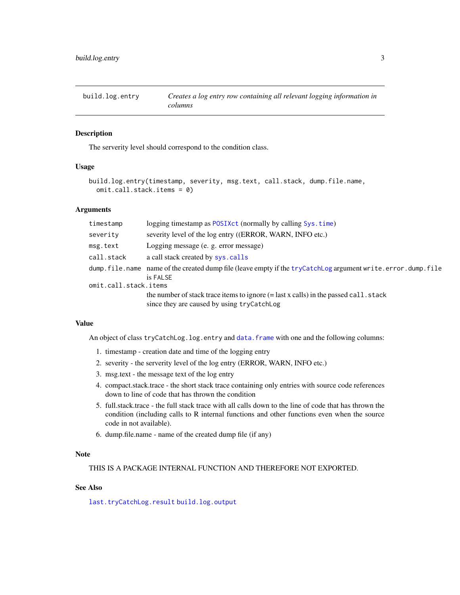<span id="page-2-1"></span><span id="page-2-0"></span>build.log.entry *Creates a log entry row containing all relevant logging information in columns*

#### Description

The serverity level should correspond to the condition class.

#### Usage

```
build.log.entry(timestamp, severity, msg.text, call.stack, dump.file.name,
  omit.call.stack.items = 0)
```
#### Arguments

| timestamp             | logging timestamp as POSIXct (normally by calling Sys.time)                                                                                         |
|-----------------------|-----------------------------------------------------------------------------------------------------------------------------------------------------|
| severity              | severity level of the log entry ((ERROR, WARN, INFO etc.)                                                                                           |
| msg.text              | Logging message (e. g. error message)                                                                                                               |
| call.stack            | a call stack created by sys.calls                                                                                                                   |
|                       | dump.file.name name of the created dump file (leave empty if the tryCatchLog argument write.error.dump.file<br>is FALSE                             |
| omit.call.stack.items |                                                                                                                                                     |
|                       | the number of stack trace items to ignore $(=\text{last } x \text{ calls})$ in the passed call. stack<br>since they are caused by using tryCatchLog |

#### Value

An object of class tryCatchLog.log.entry and [data.frame](#page-0-0) with one and the following columns:

- 1. timestamp creation date and time of the logging entry
- 2. severity the serverity level of the log entry (ERROR, WARN, INFO etc.)
- 3. msg.text the message text of the log entry
- 4. compact.stack.trace the short stack trace containing only entries with source code references down to line of code that has thrown the condition
- 5. full.stack.trace the full stack trace with all calls down to the line of code that has thrown the condition (including calls to R internal functions and other functions even when the source code in not available).
- 6. dump.file.name name of the created dump file (if any)

#### **Note**

THIS IS A PACKAGE INTERNAL FUNCTION AND THEREFORE NOT EXPORTED.

# See Also

[last.tryCatchLog.result](#page-9-1) [build.log.output](#page-3-1)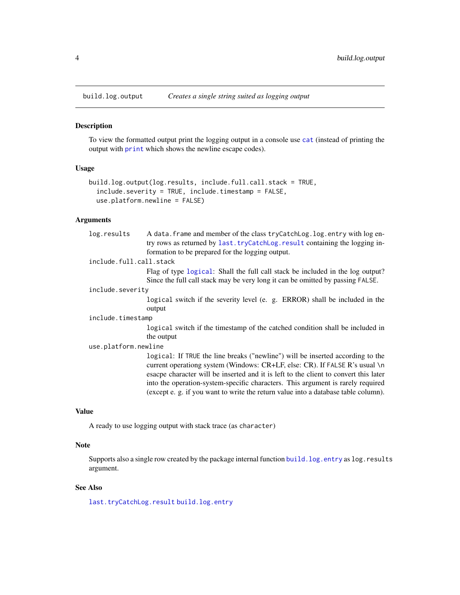<span id="page-3-1"></span><span id="page-3-0"></span>

#### Description

To view the formatted output print the logging output in a console use [cat](#page-0-0) (instead of printing the output with [print](#page-0-0) which shows the newline escape codes).

#### Usage

```
build.log.output(log.results, include.full.call.stack = TRUE,
  include.severity = TRUE, include.timestamp = FALSE,
 use.platform.newline = FALSE)
```
# Arguments

| log.results             | A data. frame and member of the class tryCatchLog. log. entry with log en-<br>try rows as returned by last. tryCatchLog. result containing the logging in-<br>formation to be prepared for the logging output.                                                                                                                                                                                                                 |
|-------------------------|--------------------------------------------------------------------------------------------------------------------------------------------------------------------------------------------------------------------------------------------------------------------------------------------------------------------------------------------------------------------------------------------------------------------------------|
| include.full.call.stack |                                                                                                                                                                                                                                                                                                                                                                                                                                |
|                         | Flag of type logical: Shall the full call stack be included in the log output?<br>Since the full call stack may be very long it can be omitted by passing FALSE.                                                                                                                                                                                                                                                               |
| include.severity        |                                                                                                                                                                                                                                                                                                                                                                                                                                |
|                         | logical switch if the severity level (e. g. ERROR) shall be included in the<br>output                                                                                                                                                                                                                                                                                                                                          |
| include.timestamp       |                                                                                                                                                                                                                                                                                                                                                                                                                                |
|                         | logical switch if the timestamp of the catched condition shall be included in<br>the output                                                                                                                                                                                                                                                                                                                                    |
| use.platform.newline    |                                                                                                                                                                                                                                                                                                                                                                                                                                |
|                         | logical: If TRUE the line breaks ("newline") will be inserted according to the<br>current operationg system (Windows: CR+LF, else: CR). If FALSE R's usual \n<br>esacpe character will be inserted and it is left to the client to convert this later<br>into the operation-system-specific characters. This argument is rarely required<br>(except e. g. if you want to write the return value into a database table column). |

# Value

A ready to use logging output with stack trace (as character)

# Note

Supports also a single row created by the package internal function build. log.entry as log.results argument.

# See Also

[last.tryCatchLog.result](#page-9-1) [build.log.entry](#page-2-1)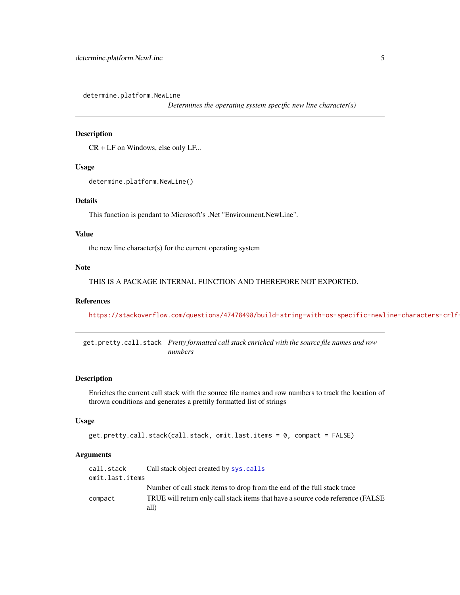<span id="page-4-0"></span>determine.platform.NewLine

*Determines the operating system specific new line character(s)*

# Description

CR + LF on Windows, else only LF...

#### Usage

```
determine.platform.NewLine()
```
# Details

This function is pendant to Microsoft's .Net "Environment.NewLine".

#### Value

the new line character(s) for the current operating system

#### Note

THIS IS A PACKAGE INTERNAL FUNCTION AND THEREFORE NOT EXPORTED.

# References

https://stackoverflow.com/questions/47478498/build-string-with-os-specific-newline-characters-crlf-

<span id="page-4-1"></span>get.pretty.call.stack *Pretty formatted call stack enriched with the source file names and row numbers*

#### Description

Enriches the current call stack with the source file names and row numbers to track the location of thrown conditions and generates a prettily formatted list of strings

# Usage

```
get.pretty.call.stack(call.stack, omit.last.items = 0, compact = FALSE)
```
#### Arguments

| call.stack      | Call stack object created by sys.calls                                           |
|-----------------|----------------------------------------------------------------------------------|
| omit.last.items |                                                                                  |
|                 | Number of call stack items to drop from the end of the full stack trace          |
| compact         | TRUE will return only call stack items that have a source code reference (FALSE) |
|                 | all)                                                                             |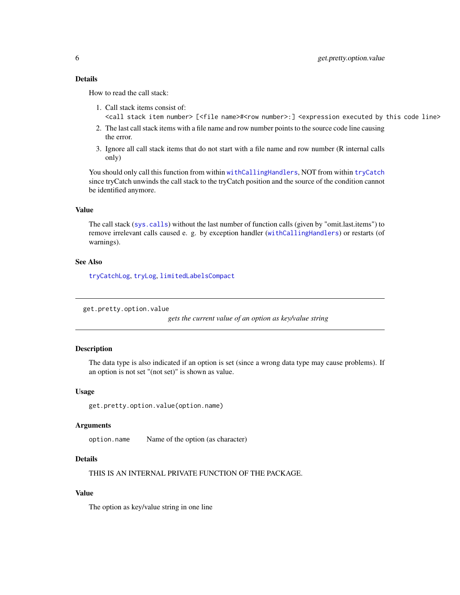# <span id="page-5-0"></span>Details

How to read the call stack:

- 1. Call stack items consist of: <call stack item number> [<file name>#<row number>:] <expression executed by this code line>
- 2. The last call stack items with a file name and row number points to the source code line causing the error.
- 3. Ignore all call stack items that do not start with a file name and row number (R internal calls only)

You should only call this function from within [withCallingHandlers](#page-0-0), NOT from within [tryCatch](#page-0-0) since tryCatch unwinds the call stack to the tryCatch position and the source of the condition cannot be identified anymore.

#### Value

The call stack ([sys.calls](#page-0-0)) without the last number of function calls (given by "omit.last.items") to remove irrelevant calls caused e. g. by exception handler ([withCallingHandlers](#page-0-0)) or restarts (of warnings).

#### See Also

[tryCatchLog](#page-13-1), [tryLog](#page-16-1), [limitedLabelsCompact](#page-10-1)

get.pretty.option.value

*gets the current value of an option as key/value string*

# Description

The data type is also indicated if an option is set (since a wrong data type may cause problems). If an option is not set "(not set)" is shown as value.

#### Usage

get.pretty.option.value(option.name)

#### **Arguments**

option.name Name of the option (as character)

# Details

THIS IS AN INTERNAL PRIVATE FUNCTION OF THE PACKAGE.

# Value

The option as key/value string in one line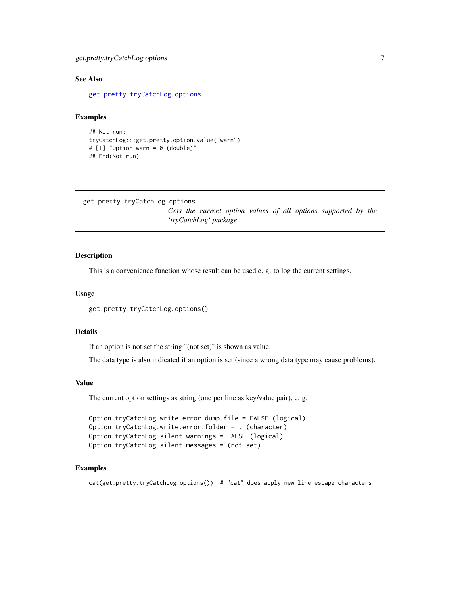# <span id="page-6-0"></span>get.pretty.tryCatchLog.options 7

# See Also

[get.pretty.tryCatchLog.options](#page-6-1)

#### Examples

```
## Not run:
tryCatchLog:::get.pretty.option.value("warn")
# [1] "Option warn = 0 (double)"
## End(Not run)
```

```
get.pretty.tryCatchLog.options
```
*Gets the current option values of all options supported by the 'tryCatchLog' package*

# Description

This is a convenience function whose result can be used e. g. to log the current settings.

# Usage

get.pretty.tryCatchLog.options()

# Details

If an option is not set the string "(not set)" is shown as value.

The data type is also indicated if an option is set (since a wrong data type may cause problems).

#### Value

The current option settings as string (one per line as key/value pair), e. g.

```
Option tryCatchLog.write.error.dump.file = FALSE (logical)
Option tryCatchLog.write.error.folder = . (character)
Option tryCatchLog.silent.warnings = FALSE (logical)
Option tryCatchLog.silent.messages = (not set)
```
#### Examples

```
cat(get.pretty.tryCatchLog.options()) # "cat" does apply new line escape characters
```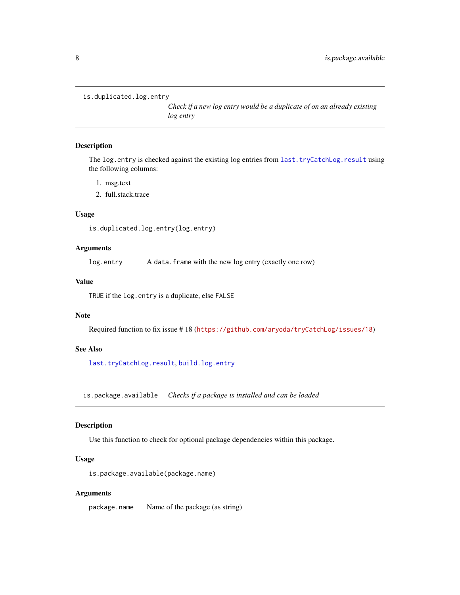```
is.duplicated.log.entry
```
*Check if a new log entry would be a duplicate of on an already existing log entry*

# Description

The log.entry is checked against the existing log entries from [last.tryCatchLog.result](#page-9-1) using the following columns:

- 1. msg.text
- 2. full.stack.trace

# Usage

```
is.duplicated.log.entry(log.entry)
```
# Arguments

log.entry A data.frame with the new log entry (exactly one row)

#### Value

TRUE if the log.entry is a duplicate, else FALSE

# Note

Required function to fix issue # 18 (<https://github.com/aryoda/tryCatchLog/issues/18>)

#### See Also

[last.tryCatchLog.result](#page-9-1), [build.log.entry](#page-2-1)

is.package.available *Checks if a package is installed and can be loaded*

# Description

Use this function to check for optional package dependencies within this package.

# Usage

```
is.package.available(package.name)
```
#### Arguments

package.name Name of the package (as string)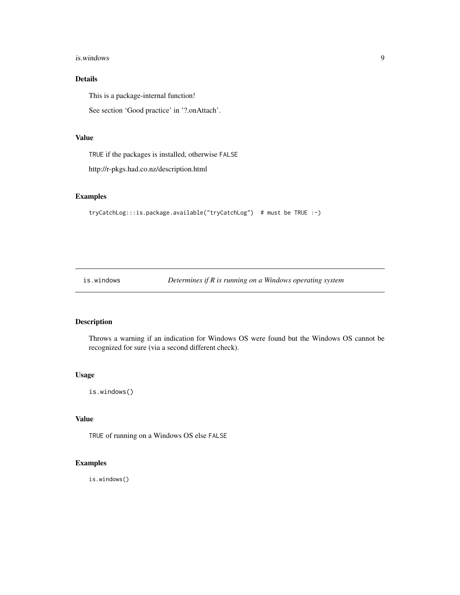#### <span id="page-8-0"></span>is.windows 9

# Details

This is a package-internal function!

See section 'Good practice' in '?.onAttach'.

# Value

TRUE if the packages is installed, otherwise FALSE

http://r-pkgs.had.co.nz/description.html

# Examples

```
tryCatchLog:::is.package.available("tryCatchLog") # must be TRUE :-)
```
is.windows *Determines if R is running on a Windows operating system*

# Description

Throws a warning if an indication for Windows OS were found but the Windows OS cannot be recognized for sure (via a second different check).

#### Usage

is.windows()

# Value

TRUE of running on a Windows OS else FALSE

# Examples

is.windows()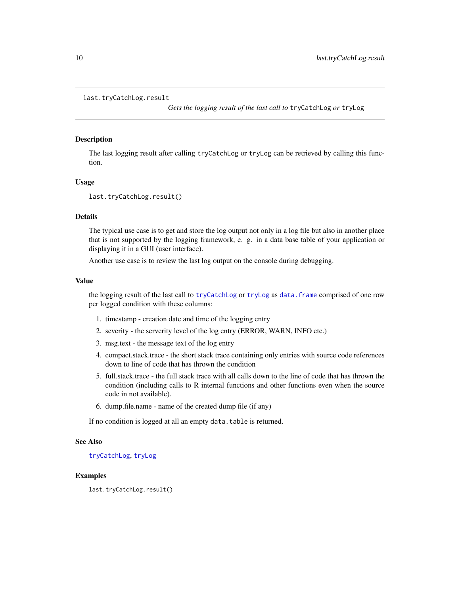```
last.tryCatchLog.result
```
*Gets the logging result of the last call to* tryCatchLog *or* tryLog

#### **Description**

The last logging result after calling tryCatchLog or tryLog can be retrieved by calling this function.

#### Usage

```
last.tryCatchLog.result()
```
#### Details

The typical use case is to get and store the log output not only in a log file but also in another place that is not supported by the logging framework, e. g. in a data base table of your application or displaying it in a GUI (user interface).

Another use case is to review the last log output on the console during debugging.

#### Value

the logging result of the last call to [tryCatchLog](#page-13-1) or [tryLog](#page-16-1) as [data.frame](#page-0-0) comprised of one row per logged condition with these columns:

- 1. timestamp creation date and time of the logging entry
- 2. severity the serverity level of the log entry (ERROR, WARN, INFO etc.)
- 3. msg.text the message text of the log entry
- 4. compact.stack.trace the short stack trace containing only entries with source code references down to line of code that has thrown the condition
- 5. full.stack.trace the full stack trace with all calls down to the line of code that has thrown the condition (including calls to R internal functions and other functions even when the source code in not available).
- 6. dump.file.name name of the created dump file (if any)

If no condition is logged at all an empty data.table is returned.

#### See Also

[tryCatchLog](#page-13-1), [tryLog](#page-16-1)

#### Examples

last.tryCatchLog.result()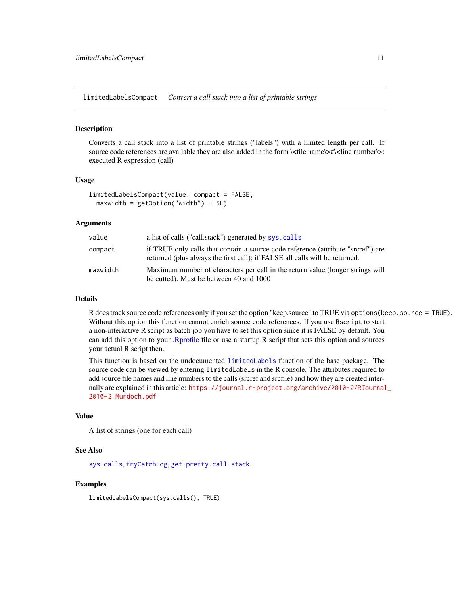<span id="page-10-1"></span><span id="page-10-0"></span>limitedLabelsCompact *Convert a call stack into a list of printable strings*

#### Description

Converts a call stack into a list of printable strings ("labels") with a limited length per call. If source code references are available they are also added in the form  $\langle \langle$  file name $\rangle$  $\rangle$ # $\langle$ line number $\rangle$ : executed R expression (call)

#### Usage

```
limitedLabelsCompact(value, compact = FALSE,
 maxwidth = getOption("width") - 5L)
```
### Arguments

| value    | a list of calls ("call.stack") generated by sys.calls                                                                                                           |
|----------|-----------------------------------------------------------------------------------------------------------------------------------------------------------------|
| compact  | if TRUE only calls that contain a source code reference (attribute "srcref") are<br>returned (plus always the first call); if FALSE all calls will be returned. |
| maxwidth | Maximum number of characters per call in the return value (longer strings will<br>be cutted). Must be between 40 and 1000                                       |

# Details

R does track source code references only if you set the option "keep.source" to TRUE via options(keep.source = TRUE). Without this option this function cannot enrich source code references. If you use Rscript to start a non-interactive R script as batch job you have to set this option since it is FALSE by default. You can add this option to your [.Rprofile](#page-0-0) file or use a startup R script that sets this option and sources your actual R script then.

This function is based on the undocumented [limitedLabels](#page-0-0) function of the base package. The source code can be viewed by entering limitedLabels in the R console. The attributes required to add source file names and line numbers to the calls (srcref and srcfile) and how they are created internally are explained in this article: [https://journal.r-project.org/archive/2010-2/RJournal](https://journal.r-project.org/archive/2010-2/RJournal_2010-2_Murdoch.pdf)\_ [2010-2\\_Murdoch.pdf](https://journal.r-project.org/archive/2010-2/RJournal_2010-2_Murdoch.pdf)

#### Value

A list of strings (one for each call)

#### See Also

[sys.calls](#page-0-0), [tryCatchLog](#page-13-1), [get.pretty.call.stack](#page-4-1)

#### Examples

limitedLabelsCompact(sys.calls(), TRUE)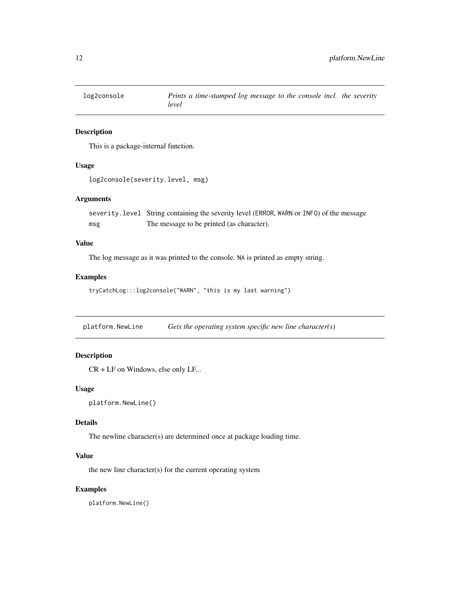<span id="page-11-0"></span>

# Description

This is a package-internal function.

# Usage

log2console(severity.level, msg)

# Arguments

severity.level String containing the severity level (ERROR, WARN or INFO) of the message msg The message to be printed (as character).

# Value

The log message as it was printed to the console. NA is printed as empty string.

# Examples

```
tryCatchLog:::log2console("WARN", "this is my last warning")
```
platform.NewLine *Gets the operating system specific new line character(s)*

# Description

CR + LF on Windows, else only LF...

# Usage

```
platform.NewLine()
```
#### Details

The newline character(s) are determined once at package loading time.

# Value

the new line character(s) for the current operating system

#### Examples

platform.NewLine()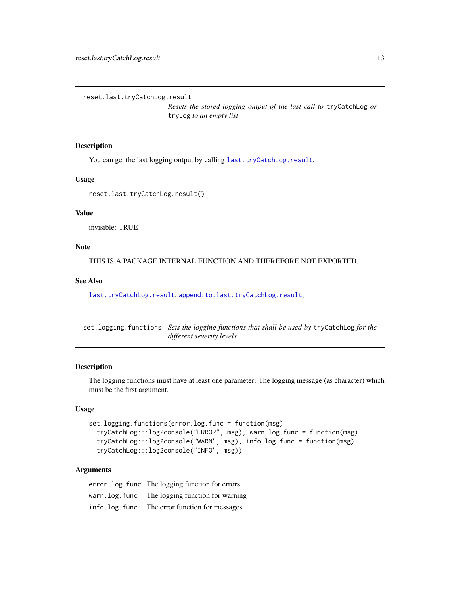<span id="page-12-1"></span><span id="page-12-0"></span>reset.last.tryCatchLog.result

*Resets the stored logging output of the last call to* tryCatchLog *or* tryLog *to an empty list*

#### Description

You can get the last logging output by calling [last.tryCatchLog.result](#page-9-1).

#### Usage

reset.last.tryCatchLog.result()

# Value

invisible: TRUE

# Note

THIS IS A PACKAGE INTERNAL FUNCTION AND THEREFORE NOT EXPORTED.

# See Also

[last.tryCatchLog.result](#page-9-1), [append.to.last.tryCatchLog.result](#page-1-1),

<span id="page-12-2"></span>set.logging.functions *Sets the logging functions that shall be used by* tryCatchLog *for the different severity levels*

# Description

The logging functions must have at least one parameter: The logging message (as character) which must be the first argument.

#### Usage

```
set.logging.functions(error.log.func = function(msg)
  tryCatchLog:::log2console("ERROR", msg), warn.log.func = function(msg)
  tryCatchLog:::log2console("WARN", msg), info.log.func = function(msg)
  tryCatchLog:::log2console("INFO", msg))
```
#### Arguments

error.log.func The logging function for errors warn.log.func The logging function for warning info.log.func The error function for messages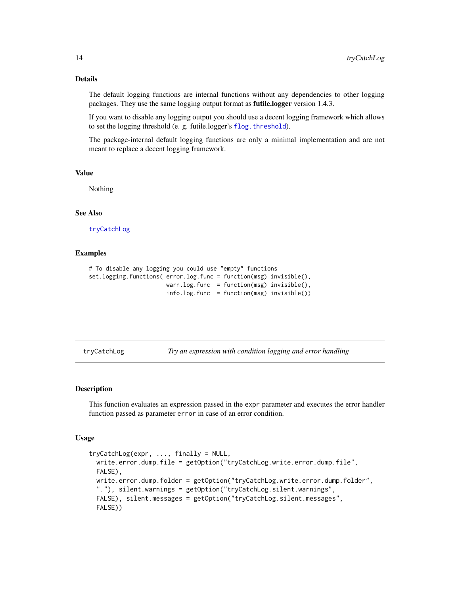# Details

The default logging functions are internal functions without any dependencies to other logging packages. They use the same logging output format as futile.logger version 1.4.3.

If you want to disable any logging output you should use a decent logging framework which allows to set the logging threshold (e. g. futile.logger's [flog.threshold](#page-0-0)).

The package-internal default logging functions are only a minimal implementation and are not meant to replace a decent logging framework.

# Value

Nothing

# See Also

[tryCatchLog](#page-13-1)

#### Examples

```
# To disable any logging you could use "empty" functions
set.logging.functions( error.log.func = function(msg) invisible(),
                      warn.log.func = function(msg) invisible(),
                      info.log.func = function(msg) invisible())
```
<span id="page-13-1"></span>tryCatchLog *Try an expression with condition logging and error handling*

# Description

This function evaluates an expression passed in the expr parameter and executes the error handler function passed as parameter error in case of an error condition.

#### Usage

```
tryCatchLog(expr, ..., finally = NULL,
 write.error.dump.file = getOption("tryCatchLog.write.error.dump.file",
 FALSE),
 write.error.dump.folder = getOption("tryCatchLog.write.error.dump.folder",
 "."), silent.warnings = getOption("tryCatchLog.silent.warnings",
 FALSE), silent.messages = getOption("tryCatchLog.silent.messages",
 FALSE))
```
<span id="page-13-0"></span>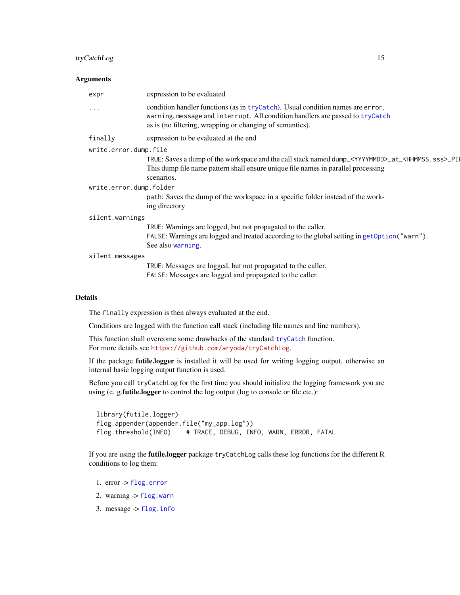# <span id="page-14-0"></span>tryCatchLog 15

# Arguments

|                         | expr                  | expression to be evaluated                                                                                                                                                                                                    |
|-------------------------|-----------------------|-------------------------------------------------------------------------------------------------------------------------------------------------------------------------------------------------------------------------------|
|                         | .                     | condition handler functions (as in tryCatch). Usual condition names are error,<br>warning, message and interrupt. All condition handlers are passed to tryCatch<br>as is (no filtering, wrapping or changing of semantics).   |
|                         | finally               | expression to be evaluated at the end                                                                                                                                                                                         |
|                         | write.error.dump.file |                                                                                                                                                                                                                               |
|                         |                       | TRUE: Saves a dump of the workspace and the call stack named dump_ <yyyymmdd>_at_<hhmmss.sss>_PI<br/>This dump file name pattern shall ensure unique file names in parallel processing<br/>scenarios.</hhmmss.sss></yyyymmdd> |
| write.error.dump.folder |                       |                                                                                                                                                                                                                               |
|                         |                       | path: Saves the dump of the workspace in a specific folder instead of the work-<br>ing directory                                                                                                                              |
|                         | silent.warnings       |                                                                                                                                                                                                                               |
|                         |                       | TRUE: Warnings are logged, but not propagated to the caller.<br>FALSE: Warnings are logged and treated according to the global setting in get Option ("warn").<br>See also warning.                                           |
|                         | silent.messages       |                                                                                                                                                                                                                               |
|                         |                       | TRUE: Messages are logged, but not propagated to the caller.<br>FALSE: Messages are logged and propagated to the caller.                                                                                                      |
|                         | <b>Details</b>        |                                                                                                                                                                                                                               |

#### The finally expression is then always evaluated at the end.

Conditions are logged with the function call stack (including file names and line numbers).

This function shall overcome some drawbacks of the standard [tryCatch](#page-0-0) function. For more details see <https://github.com/aryoda/tryCatchLog>.

If the package futile.logger is installed it will be used for writing logging output, otherwise an internal basic logging output function is used.

Before you call tryCatchLog for the first time you should initialize the logging framework you are using (e. g.futile.logger to control the log output (log to console or file etc.):

```
library(futile.logger)
flog.appender(appender.file("my_app.log"))
flog.threshold(INFO) # TRACE, DEBUG, INFO, WARN, ERROR, FATAL
```
If you are using the futile.logger package tryCatchLog calls these log functions for the different R conditions to log them:

- 1. error -> [flog.error](#page-0-0)
- 2. warning  $\rightarrow$  [flog.warn](#page-0-0)
- 3. message -> [flog.info](#page-0-0)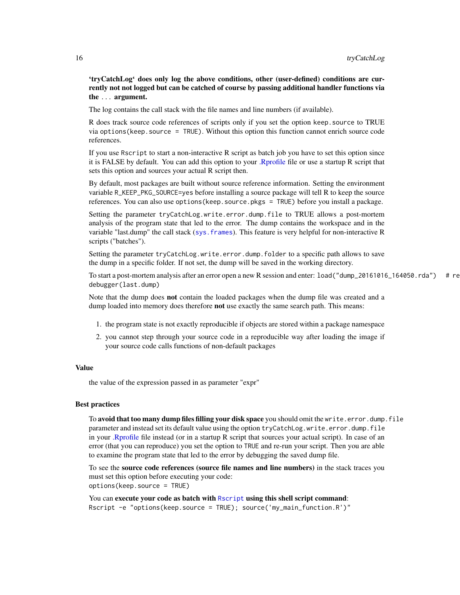<span id="page-15-0"></span>'tryCatchLog' does only log the above conditions, other (user-defined) conditions are currently not not logged but can be catched of course by passing additional handler functions via the ... argument.

The log contains the call stack with the file names and line numbers (if available).

R does track source code references of scripts only if you set the option keep.source to TRUE via options(keep.source = TRUE). Without this option this function cannot enrich source code references.

If you use Rscript to start a non-interactive R script as batch job you have to set this option since it is FALSE by default. You can add this option to your [.Rprofile](#page-0-0) file or use a startup R script that sets this option and sources your actual R script then.

By default, most packages are built without source reference information. Setting the environment variable R\_KEEP\_PKG\_SOURCE=yes before installing a source package will tell R to keep the source references. You can also use options(keep.source.pkgs = TRUE) before you install a package.

Setting the parameter tryCatchLog.write.error.dump.file to TRUE allows a post-mortem analysis of the program state that led to the error. The dump contains the workspace and in the variable "last.dump" the call stack ([sys.frames](#page-0-0)). This feature is very helpful for non-interactive R scripts ("batches").

Setting the parameter tryCatchLog.write.error.dump.folder to a specific path allows to save the dump in a specific folder. If not set, the dump will be saved in the working directory.

To start a post-mortem analysis after an error open a new R session and enter:  $load("dump_20161016_160020r)$  # re debugger(last.dump)

Note that the dump does not contain the loaded packages when the dump file was created and a dump loaded into memory does therefore not use exactly the same search path. This means:

- 1. the program state is not exactly reproducible if objects are stored within a package namespace
- 2. you cannot step through your source code in a reproducible way after loading the image if your source code calls functions of non-default packages

# Value

the value of the expression passed in as parameter "expr"

#### Best practices

To avoid that too many dump files filling your disk space you should omit the write.error.dump.file parameter and instead set its default value using the option tryCatchLog.write.error.dump.file in your [.Rprofile](#page-0-0) file instead (or in a startup R script that sources your actual script). In case of an error (that you can reproduce) you set the option to TRUE and re-run your script. Then you are able to examine the program state that led to the error by debugging the saved dump file.

To see the source code references (source file names and line numbers) in the stack traces you must set this option before executing your code: options(keep.source = TRUE)

You can execute your code as batch with [Rscript](#page-0-0) using this shell script command: Rscript -e "options(keep.source = TRUE); source('my\_main\_function.R')"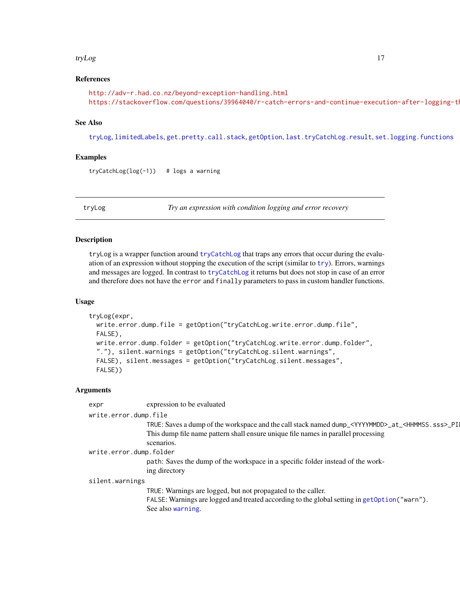#### <span id="page-16-0"></span>tryLog and the state of the state of the state of the state of the state of the state of the state of the state of the state of the state of the state of the state of the state of the state of the state of the state of the

#### References

```
http://adv-r.had.co.nz/beyond-exception-handling.html
https://stackoverflow.com/questions/39964040/r-catch-errors-and-continue-execution-after-logging-th
```
#### See Also

[tryLog](#page-16-1), [limitedLabels](#page-0-0), [get.pretty.call.stack](#page-4-1), [getOption](#page-0-0), [last.tryCatchLog.result](#page-9-1), [set.logging.functions](#page-12-2)

# Examples

 $tryCatchLog(log(-1))$  # logs a warning

<span id="page-16-1"></span>

tryLog *Try an expression with condition logging and error recovery*

#### Description

tryLog is a wrapper function around [tryCatchLog](#page-13-1) that traps any errors that occur during the evaluation of an expression without stopping the execution of the script (similar to  $try$ ). Errors, warnings and messages are logged. In contrast to [tryCatchLog](#page-13-1) it returns but does not stop in case of an error and therefore does not have the error and finally parameters to pass in custom handler functions.

#### Usage

```
tryLog(expr,
 write.error.dump.file = getOption("tryCatchLog.write.error.dump.file",
 FALSE),
 write.error.dump.folder = getOption("tryCatchLog.write.error.dump.folder",
  "."), silent.warnings = getOption("tryCatchLog.silent.warnings",
  FALSE), silent.messages = getOption("tryCatchLog.silent.messages",
 FALSE))
```
#### Arguments

| expr                    | expression to be evaluated                                                                                               |  |
|-------------------------|--------------------------------------------------------------------------------------------------------------------------|--|
| write.error.dump.file   |                                                                                                                          |  |
|                         | TRUE: Saves a dump of the workspace and the call stack named dump_ <yyyymmdd>_at_<hhmmss.sss>_PI</hhmmss.sss></yyyymmdd> |  |
|                         | This dump file name pattern shall ensure unique file names in parallel processing                                        |  |
|                         | scenarios.                                                                                                               |  |
| write.error.dump.folder |                                                                                                                          |  |
|                         | path: Saves the dump of the workspace in a specific folder instead of the work-                                          |  |
|                         | ing directory                                                                                                            |  |
| silent.warnings         |                                                                                                                          |  |
|                         | TRUE: Warnings are logged, but not propagated to the caller.                                                             |  |
|                         | FALSE: Warnings are logged and treated according to the global setting in getOption("warn").                             |  |
|                         | See also warning.                                                                                                        |  |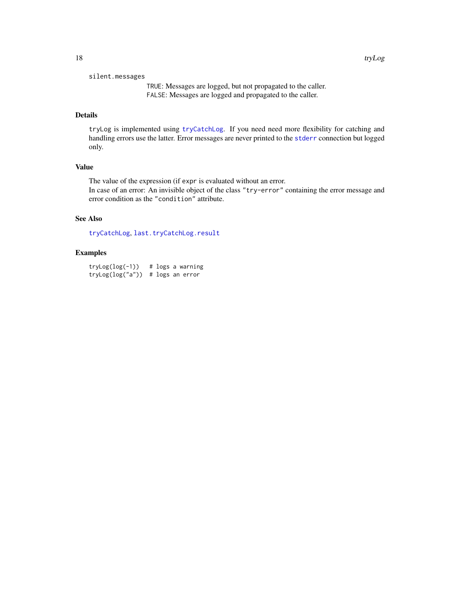#### <span id="page-17-0"></span>silent.messages

TRUE: Messages are logged, but not propagated to the caller. FALSE: Messages are logged and propagated to the caller.

# Details

tryLog is implemented using [tryCatchLog](#page-13-1). If you need need more flexibility for catching and handling errors use the latter. Error messages are never printed to the [stderr](#page-0-0) connection but logged only.

# Value

The value of the expression (if expr is evaluated without an error. In case of an error: An invisible object of the class "try-error" containing the error message and error condition as the "condition" attribute.

# See Also

[tryCatchLog](#page-13-1), [last.tryCatchLog.result](#page-9-1)

# Examples

 $tryLog(log(-1))$  # logs a warning tryLog(log("a")) # logs an error